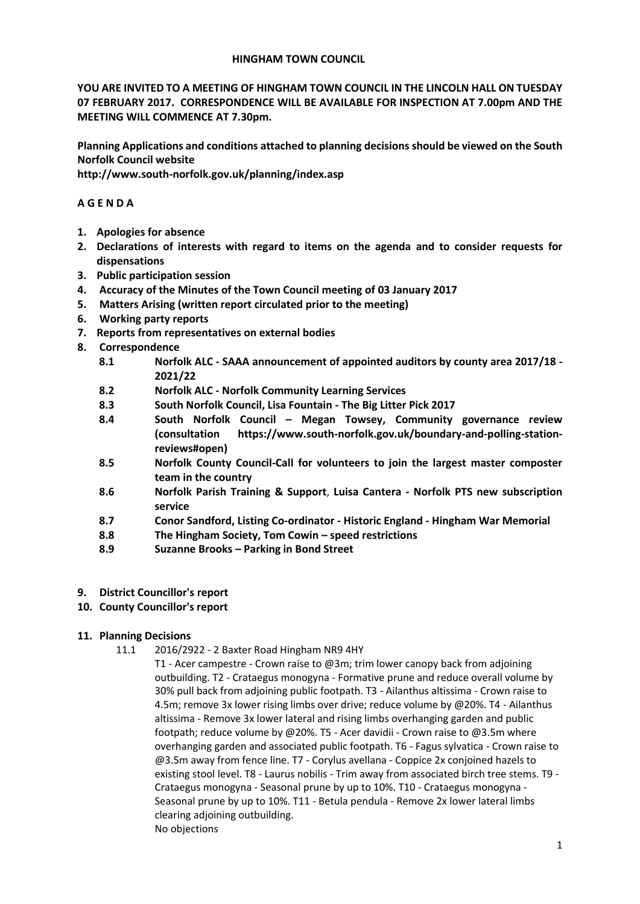#### **HINGHAM TOWN COUNCIL**

**YOU ARE INVITED TO A MEETING OF HINGHAM TOWN COUNCIL IN THE LINCOLN HALL ON TUESDAY 07 FEBRUARY 2017. CORRESPONDENCE WILL BE AVAILABLE FOR INSPECTION AT 7.00pm AND THE MEETING WILL COMMENCE AT 7.30pm.** 

**Planning Applications and conditions attached to planning decisions should be viewed on the South Norfolk Council website** 

**http://www.south-norfolk.gov.uk/planning/index.asp**

## **A G E N D A**

- **1. Apologies for absence**
- **2. Declarations of interests with regard to items on the agenda and to consider requests for dispensations**
- **3. Public participation session**
- **4. Accuracy of the Minutes of the Town Council meeting of 03 January 2017**
- **5. Matters Arising (written report circulated prior to the meeting)**
- **6. Working party reports**
- **7. Reports from representatives on external bodies**
- **8. Correspondence** 
	- **8.1 Norfolk ALC - SAAA announcement of appointed auditors by county area 2017/18 - 2021/22**
	- **8.2 Norfolk ALC - Norfolk Community Learning Services**
	- **8.3 South Norfolk Council, Lisa Fountain - The Big Litter Pick 2017**
	- **8.4 South Norfolk Council – Megan Towsey, Community governance review (consultation https://www.south-norfolk.gov.uk/boundary-and-polling-stationreviews#open)**
	- **8.5 Norfolk County Council-Call for volunteers to join the largest master composter team in the country**
	- **8.6 Norfolk Parish Training & Support**, **Luisa Cantera - Norfolk PTS new subscription service**
	- **8.7 Conor Sandford, Listing Co-ordinator - Historic England - Hingham War Memorial**
	- **8.8 The Hingham Society, Tom Cowin – speed restrictions**
	- **8.9 Suzanne Brooks – Parking in Bond Street**
- **9. District Councillor's report**
- **10. County Councillor's report**

# **11. Planning Decisions**

- 11.1 2016/2922 2 Baxter Road Hingham NR9 4HY
	- T1 Acer campestre Crown raise to @3m; trim lower canopy back from adjoining outbuilding. T2 - Crataegus monogyna - Formative prune and reduce overall volume by 30% pull back from adjoining public footpath. T3 - Ailanthus altissima - Crown raise to 4.5m; remove 3x lower rising limbs over drive; reduce volume by @20%. T4 - Ailanthus altissima - Remove 3x lower lateral and rising limbs overhanging garden and public footpath; reduce volume by @20%. T5 - Acer davidii - Crown raise to @3.5m where overhanging garden and associated public footpath. T6 - Fagus sylvatica - Crown raise to @3.5m away from fence line. T7 - Corylus avellana - Coppice 2x conjoined hazels to existing stool level. T8 - Laurus nobilis - Trim away from associated birch tree stems. T9 - Crataegus monogyna - Seasonal prune by up to 10%. T10 - Crataegus monogyna - Seasonal prune by up to 10%. T11 - Betula pendula - Remove 2x lower lateral limbs clearing adjoining outbuilding. No objections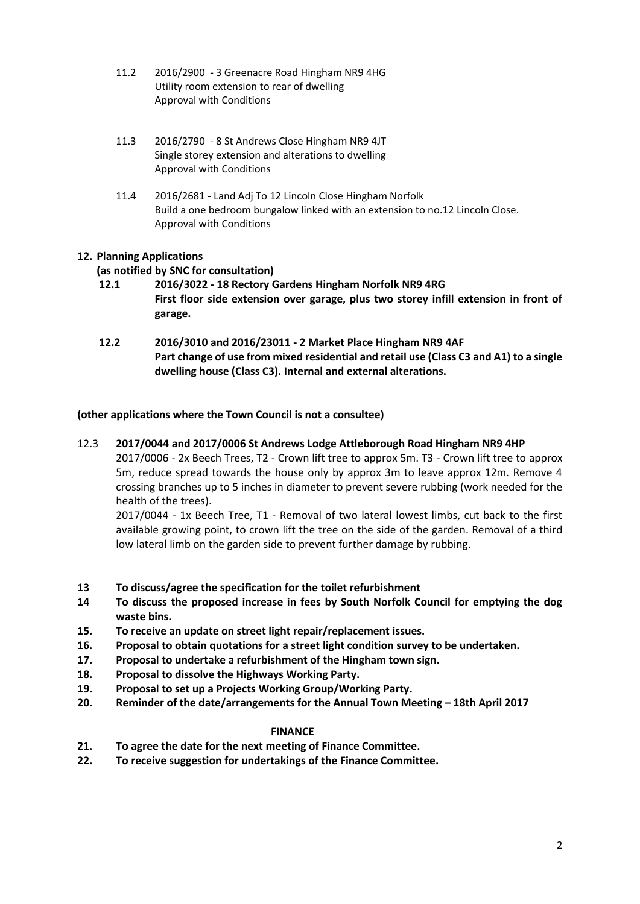- 11.2 2016/2900 3 Greenacre Road Hingham NR9 4HG Utility room extension to rear of dwelling Approval with Conditions
- 11.3 2016/2790 8 St Andrews Close Hingham NR9 4JT Single storey extension and alterations to dwelling Approval with Conditions
- 11.4 2016/2681 Land Adj To 12 Lincoln Close Hingham Norfolk Build a one bedroom bungalow linked with an extension to no.12 Lincoln Close. Approval with Conditions

# **12. Planning Applications**

# **(as notified by SNC for consultation)**

- **12.1 2016/3022 - 18 Rectory Gardens Hingham Norfolk NR9 4RG First floor side extension over garage, plus two storey infill extension in front of garage.**
- **12.2 2016/3010 and 2016/23011 - 2 Market Place Hingham NR9 4AF Part change of use from mixed residential and retail use (Class C3 and A1) to a single dwelling house (Class C3). Internal and external alterations.**

## **(other applications where the Town Council is not a consultee)**

## 12.3 **2017/0044 and 2017/0006 St Andrews Lodge Attleborough Road Hingham NR9 4HP**

2017/0006 - 2x Beech Trees, T2 - Crown lift tree to approx 5m. T3 - Crown lift tree to approx 5m, reduce spread towards the house only by approx 3m to leave approx 12m. Remove 4 crossing branches up to 5 inches in diameter to prevent severe rubbing (work needed for the health of the trees).

2017/0044 - 1x Beech Tree, T1 - Removal of two lateral lowest limbs, cut back to the first available growing point, to crown lift the tree on the side of the garden. Removal of a third low lateral limb on the garden side to prevent further damage by rubbing.

- **13 To discuss/agree the specification for the toilet refurbishment**
- **14 To discuss the proposed increase in fees by South Norfolk Council for emptying the dog waste bins.**
- **15. To receive an update on street light repair/replacement issues.**
- **16. Proposal to obtain quotations for a street light condition survey to be undertaken.**
- **17. Proposal to undertake a refurbishment of the Hingham town sign.**
- **18. Proposal to dissolve the Highways Working Party.**
- **19. Proposal to set up a Projects Working Group/Working Party.**
- **20.** Reminder of the date/arrangements for the Annual Town Meeting 18th April 2017

#### **FINANCE**

- **21. To agree the date for the next meeting of Finance Committee.**
- **22. To receive suggestion for undertakings of the Finance Committee.**